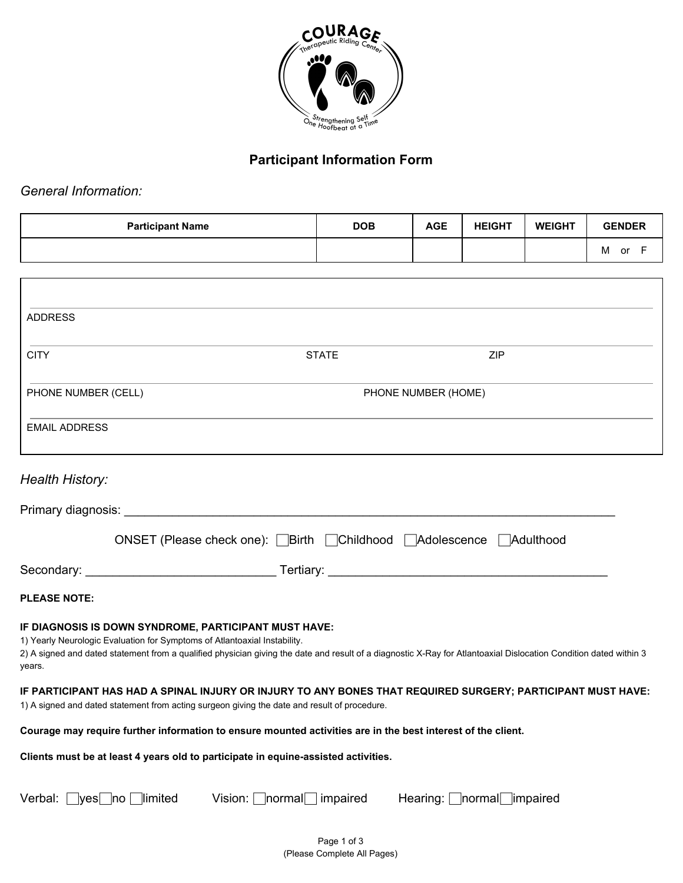

## **Participant Information Form**

*General Information:*

| <b>Participant Name</b> | <b>DOB</b> | <b>AGE</b> | <b>HEIGHT</b> | <b>WEIGHT</b> | <b>GENDER</b> |
|-------------------------|------------|------------|---------------|---------------|---------------|
|                         |            |            |               |               | M<br>or       |

| <b>ADDRESS</b>                                                                                                                               |                                                       |                                                                                                                                                                   |
|----------------------------------------------------------------------------------------------------------------------------------------------|-------------------------------------------------------|-------------------------------------------------------------------------------------------------------------------------------------------------------------------|
| <b>CITY</b>                                                                                                                                  | <b>STATE</b>                                          | <b>ZIP</b>                                                                                                                                                        |
| PHONE NUMBER (CELL)                                                                                                                          |                                                       | PHONE NUMBER (HOME)                                                                                                                                               |
| <b>EMAIL ADDRESS</b>                                                                                                                         |                                                       |                                                                                                                                                                   |
| <b>Health History:</b>                                                                                                                       |                                                       |                                                                                                                                                                   |
|                                                                                                                                              |                                                       |                                                                                                                                                                   |
|                                                                                                                                              | ONSET (Please check one): Birth Childhood Adolescence | <b>Adulthood</b>                                                                                                                                                  |
|                                                                                                                                              |                                                       | Tertiary: Tertiary:                                                                                                                                               |
| <b>PLEASE NOTE:</b>                                                                                                                          |                                                       |                                                                                                                                                                   |
| IF DIAGNOSIS IS DOWN SYNDROME, PARTICIPANT MUST HAVE:<br>1) Yearly Neurologic Evaluation for Symptoms of Atlantoaxial Instability.<br>years. |                                                       | 2) A signed and dated statement from a qualified physician giving the date and result of a diagnostic X-Ray for Atlantoaxial Dislocation Condition dated within 3 |
| 1) A signed and dated statement from acting surgeon giving the date and result of procedure.                                                 |                                                       | IF PARTICIPANT HAS HAD A SPINAL INJURY OR INJURY TO ANY BONES THAT REQUIRED SURGERY; PARTICIPANT MUST HAVE:                                                       |
| Courage may require further information to ensure mounted activities are in the best interest of the client.                                 |                                                       |                                                                                                                                                                   |
| Clients must be at least 4 years old to participate in equine-assisted activities.                                                           |                                                       |                                                                                                                                                                   |
| Verbal: [<br>$ yes $ $ no $ limited                                                                                                          | Vision: $\Box$ normal $\Box$ impaired                 |                                                                                                                                                                   |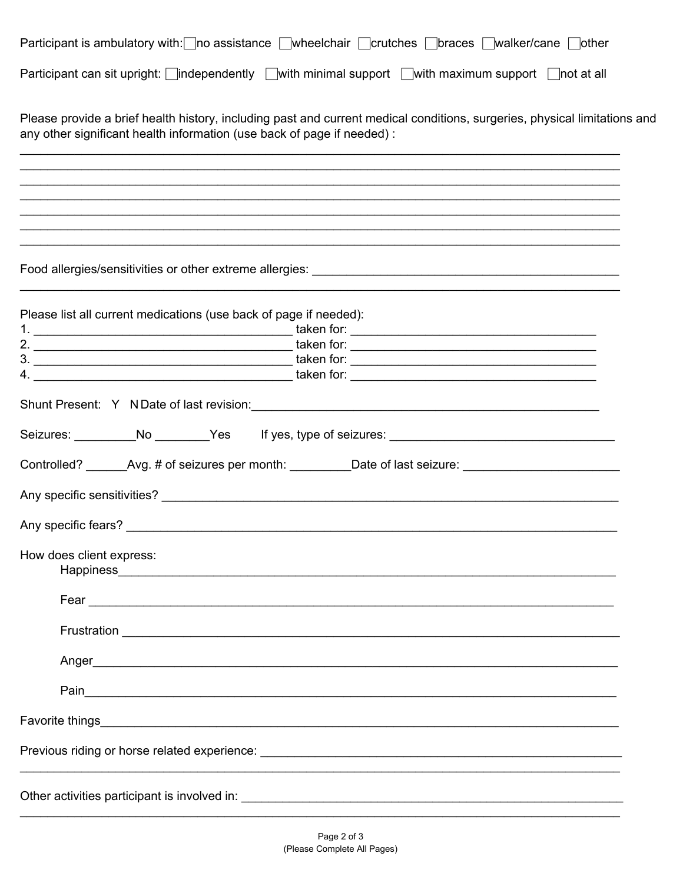| Participant is ambulatory with: no assistance wheelchair norutches norutches ownalker/cane nother |  |  |  |
|---------------------------------------------------------------------------------------------------|--|--|--|
|                                                                                                   |  |  |  |

Participant can sit upright:  $\Box$ independently  $\Box$  with minimal support  $\Box$  with maximum support  $\Box$  not at all

Please provide a brief health history, including past and current medical conditions, surgeries, physical limitations and any other significant health information (use back of page if needed) :

,我们也不能在这里的时候,我们也不能在这里的时候,我们也不能不能不能会不能不能会不能会不能会不能会不能会不能会不能。""我们的是,我们也不能会不能会不能会不能会

Food allergies/sensitivities or other extreme allergies:

| Please list all current medications (use back of page if needed):                                    |
|------------------------------------------------------------------------------------------------------|
|                                                                                                      |
|                                                                                                      |
|                                                                                                      |
|                                                                                                      |
|                                                                                                      |
| Controlled? _______Avg. # of seizures per month: __________Date of last seizure: ___________________ |
|                                                                                                      |
|                                                                                                      |
| How does client express:                                                                             |
|                                                                                                      |
|                                                                                                      |
|                                                                                                      |
|                                                                                                      |
|                                                                                                      |
|                                                                                                      |
| Other activities participant is involved in:                                                         |